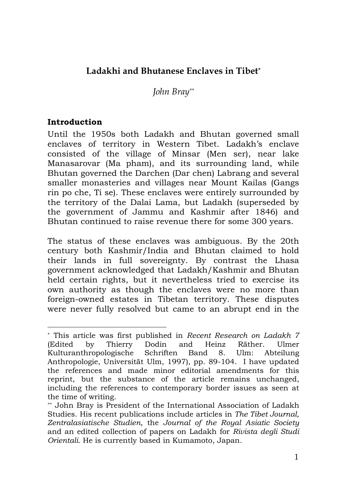# **Ladakhi and Bhutanese Enclaves in Tibet\***

*John Bray\*\**

### **Introduction**

1

Until the 1950s both Ladakh and Bhutan governed small enclaves of territory in Western Tibet. Ladakh's enclave consisted of the village of Minsar (Men ser), near lake Manasarovar (Ma pham), and its surrounding land, while Bhutan governed the Darchen (Dar chen) Labrang and several smaller monasteries and villages near Mount Kailas (Gangs rin po che, Ti se). These enclaves were entirely surrounded by the territory of the Dalai Lama, but Ladakh (superseded by the government of Jammu and Kashmir after 1846) and Bhutan continued to raise revenue there for some 300 years.

The status of these enclaves was ambiguous. By the 20th century both Kashmir/India and Bhutan claimed to hold their lands in full sovereignty. By contrast the Lhasa government acknowledged that Ladakh/Kashmir and Bhutan held certain rights, but it nevertheless tried to exercise its own authority as though the enclaves were no more than foreign-owned estates in Tibetan territory. These disputes were never fully resolved but came to an abrupt end in the

<sup>\*</sup> This article was first published in *Recent Research on Ladakh 7* (Edited by Thierry Dodin and Heinz Räther. Ulmer Kulturanthropologische Schriften Band 8. Ulm: Abteilung Anthropologie, Universität Ulm, 1997), pp. 89-104. I have updated the references and made minor editorial amendments for this reprint, but the substance of the article remains unchanged, including the references to contemporary border issues as seen at the time of writing.

<sup>\*\*</sup> John Bray is President of the International Association of Ladakh Studies. His recent publications include articles in *The Tibet Journal, Zentralasiatische Studien*, the *Journal of the Royal Asiatic Society* and an edited collection of papers on Ladakh for *Rivista degli Studi Orientali*. He is currently based in Kumamoto, Japan.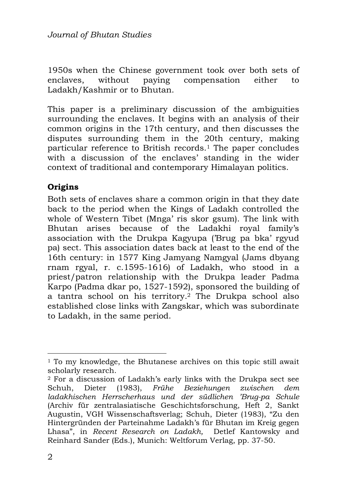1950s when the Chinese government took over both sets of enclaves, without paying compensation either to Ladakh/Kashmir or to Bhutan.

This paper is a preliminary discussion of the ambiguities surrounding the enclaves. It begins with an analysis of their common origins in the 17th century, and then discusses the disputes surrounding them in the 20th century, making particular reference to British records.1 The paper concludes with a discussion of the enclaves' standing in the wider context of traditional and contemporary Himalayan politics.

# **Origins**

Both sets of enclaves share a common origin in that they date back to the period when the Kings of Ladakh controlled the whole of Western Tibet (Mnga' ris skor gsum). The link with Bhutan arises because of the Ladakhi royal family's association with the Drukpa Kagyupa ('Brug pa bka' rgyud pa) sect. This association dates back at least to the end of the 16th century: in 1577 King Jamyang Namgyal (Jams dbyang rnam rgyal, r. c.1595-1616) of Ladakh, who stood in a priest/patron relationship with the Drukpa leader Padma Karpo (Padma dkar po, 1527-1592), sponsored the building of a tantra school on his territory.2 The Drukpa school also established close links with Zangskar, which was subordinate to Ladakh, in the same period.

 <sup>1</sup> To my knowledge, the Bhutanese archives on this topic still await scholarly research.

<sup>2</sup> For a discussion of Ladakh's early links with the Drukpa sect see Schuh, Dieter (1983), *Frühe Beziehungen zwischen dem ladakhischen Herrscherhaus und der südlichen 'Brug-pa Schule*  (Archiv für zentralasiatische Geschichtsforschung, Heft 2, Sankt Augustin, VGH Wissenschaftsverlag; Schuh, Dieter (1983), "Zu den Hintergründen der Parteinahme Ladakh's für Bhutan im Kreig gegen Lhasa", in *Recent Research on Ladakh,* Detlef Kantowsky and Reinhard Sander (Eds.), Munich: Weltforum Verlag, pp. 37-50.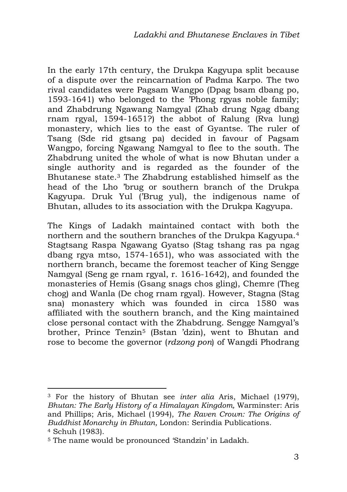In the early 17th century, the Drukpa Kagyupa split because of a dispute over the reincarnation of Padma Karpo. The two rival candidates were Pagsam Wangpo (Dpag bsam dbang po, 1593-1641) who belonged to the 'Phong rgyas noble family; and Zhabdrung Ngawang Namgyal (Zhab drung Ngag dbang rnam rgyal, 1594-1651?) the abbot of Ralung (Rva lung) monastery, which lies to the east of Gyantse. The ruler of Tsang (Sde rid gtsang pa) decided in favour of Pagsam Wangpo, forcing Ngawang Namgyal to flee to the south. The Zhabdrung united the whole of what is now Bhutan under a single authority and is regarded as the founder of the Bhutanese state.3 The Zhabdrung established himself as the head of the Lho 'brug or southern branch of the Drukpa Kagyupa. Druk Yul ('Brug yul), the indigenous name of Bhutan, alludes to its association with the Drukpa Kagyupa.

The Kings of Ladakh maintained contact with both the northern and the southern branches of the Drukpa Kagyupa.<sup>4</sup> Stagtsang Raspa Ngawang Gyatso (Stag tshang ras pa ngag dbang rgya mtso, 1574-1651), who was associated with the northern branch, became the foremost teacher of King Sengge Namgyal (Seng ge rnam rgyal, r. 1616-1642), and founded the monasteries of Hemis (Gsang snags chos gling), Chemre (Theg chog) and Wanla (De chog rnam rgyal). However, Stagna (Stag sna) monastery which was founded in circa 1580 was affiliated with the southern branch, and the King maintained close personal contact with the Zhabdrung. Sengge Namgyal's brother, Prince Tenzin5 (Bstan 'dzin), went to Bhutan and rose to become the governor (*rdzong pon*) of Wangdi Phodrang

<sup>3</sup> For the history of Bhutan see *inter alia* Aris, Michael (1979), *Bhutan: The Early History of a Himalayan Kingdom,* Warminster: Aris and Phillips; Aris, Michael (1994), *The Raven Crown: The Origins of Buddhist Monarchy in Bhutan,* London: Serindia Publications. <sup>4</sup> Schuh (1983).

<sup>5</sup> The name would be pronounced 'Standzin' in Ladakh.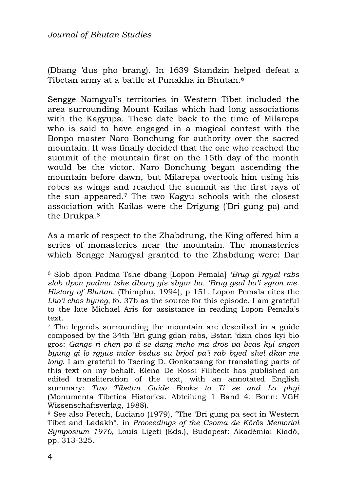(Dbang 'dus pho brang). In 1639 Standzin helped defeat a Tibetan army at a battle at Punakha in Bhutan.<sup>6</sup>

Sengge Namgyal's territories in Western Tibet included the area surrounding Mount Kailas which had long associations with the Kagyupa. These date back to the time of Milarepa who is said to have engaged in a magical contest with the Bonpo master Naro Bonchung for authority over the sacred mountain. It was finally decided that the one who reached the summit of the mountain first on the 15th day of the month would be the victor. Naro Bonchung began ascending the mountain before dawn, but Milarepa overtook him using his robes as wings and reached the summit as the first rays of the sun appeared.7 The two Kagyu schools with the closest association with Kailas were the Drigung ('Bri gung pa) and the Drukpa.<sup>8</sup>

As a mark of respect to the Zhabdrung, the King offered him a series of monasteries near the mountain. The monasteries which Sengge Namgyal granted to the Zhabdung were: Dar

<sup>6</sup> Slob dpon Padma Tshe dbang [Lopon Pemala] *'Brug gi rgyal rabs slob dpon padma tshe dbang gis sbyar ba. 'Brug gsal ba'i sgron me. History of Bhutan.* (Thimphu, 1994), p 151. Lopon Pemala cites the *Lho'i chos byung,* fo. 37b as the source for this episode. I am grateful to the late Michael Aris for assistance in reading Lopon Pemala's text.

<sup>7</sup> The legends surrounding the mountain are described in a guide composed by the 34th 'Bri gung gdan rabs, Bstan 'dzin chos kyi blo gros: *Gangs ri chen po ti se dang mcho ma dros pa bcas kyi sngon byung gi lo rgyus mdor bsdus su brjod pa'i rab byed shel dkar me long*. I am grateful to Tsering D. Gonkatsang for translating parts of this text on my behalf. Elena De Rossi Filibeck has published an edited transliteration of the text, with an annotated English summary: *Two Tibetan Guide Books to Ti se and La phyi* (Monumenta Tibetica Historica. Abteilung 1 Band 4. Bonn: VGH Wissenschaftsverlag, 1988).

<sup>8</sup> See also Petech, Luciano (1979), "The 'Bri gung pa sect in Western Tibet and Ladakh", in *Proceedings of the Csoma de Kőrö*s *Memorial Symposium 1976,* Louis Ligeti (Eds.), Budapest: Akadémiai Kiadó, pp. 313-325.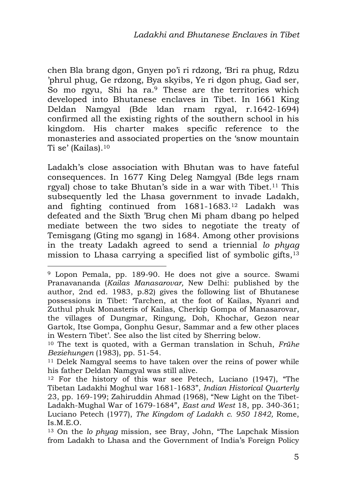chen Bla brang dgon, Gnyen po'i ri rdzong, 'Bri ra phug, Rdzu 'phrul phug, Ge rdzong, Bya skyibs, Ye ri dgon phug, Gad ser, So mo rgyu. Shi ha ra.<sup>9</sup> These are the territories which developed into Bhutanese enclaves in Tibet. In 1661 King Deldan Namgyal (Bde ldan rnam rgyal, r.1642-1694) confirmed all the existing rights of the southern school in his kingdom. His charter makes specific reference to the monasteries and associated properties on the 'snow mountain Ti se' (Kailas).<sup>10</sup>

Ladakh's close association with Bhutan was to have fateful consequences. In 1677 King Deleg Namgyal (Bde legs rnam rgyal) chose to take Bhutan's side in a war with Tibet.<sup>11</sup> This subsequently led the Lhasa government to invade Ladakh, and fighting continued from 1681-1683.12 Ladakh was defeated and the Sixth 'Brug chen Mi pham dbang po helped mediate between the two sides to negotiate the treaty of Temisgang (Gting mo sgang) in 1684. Among other provisions in the treaty Ladakh agreed to send a triennial *lo phyag* mission to Lhasa carrying a specified list of symbolic gifts,<sup>13</sup>

<sup>10</sup> The text is quoted, with a German translation in Schuh, *Frühe Beziehungen* (1983), pp. 51-54.

<sup>11</sup> Delek Namgyal seems to have taken over the reins of power while his father Deldan Namgyal was still alive.

<sup>12</sup> For the history of this war see Petech, Luciano (1947), "The Tibetan Ladakhi Moghul war 1681-1683", *Indian Historical Quarterly* 23, pp. 169-199; Zahiruddin Ahmad (1968), "New Light on the Tibet-Ladakh-Mughal War of 1679-1684", *East and West* 18, pp. 340-361; Luciano Petech (1977), *The Kingdom of Ladakh c. 950 1842,* Rome, Is.M.E.O.

<sup>13</sup> On the *lo phyag* mission, see Bray, John, "The Lapchak Mission from Ladakh to Lhasa and the Government of India's Foreign Policy

<sup>9</sup> Lopon Pemala, pp. 189-90. He does not give a source. Swami Pranavananda (*Kailas Manasarovar,* New Delhi: published by the author, 2nd ed. 1983, p.82) gives the following list of Bhutanese possessions in Tibet: 'Tarchen, at the foot of Kailas, Nyanri and Zuthul phuk Monasteris of Kailas, Cherkip Gompa of Manasarovar, the villages of Dungmar, Ringung, Doh, Khochar, Gezon near Gartok, Itse Gompa, Gonphu Gesur, Sammar and a few other places in Western Tibet'. See also the list cited by Sherring below.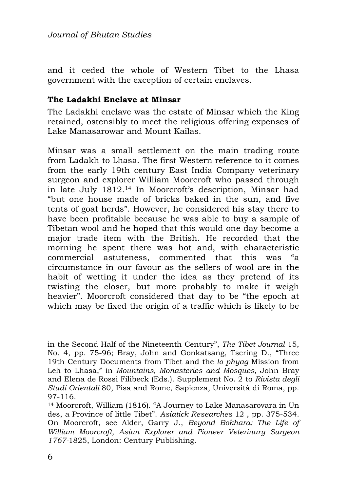and it ceded the whole of Western Tibet to the Lhasa government with the exception of certain enclaves.

### **The Ladakhi Enclave at Minsar**

The Ladakhi enclave was the estate of Minsar which the King retained, ostensibly to meet the religious offering expenses of Lake Manasarowar and Mount Kailas.

Minsar was a small settlement on the main trading route from Ladakh to Lhasa. The first Western reference to it comes from the early 19th century East India Company veterinary surgeon and explorer William Moorcroft who passed through in late July 1812.14 In Moorcroft's description, Minsar had "but one house made of bricks baked in the sun, and five tents of goat herds". However, he considered his stay there to have been profitable because he was able to buy a sample of Tibetan wool and he hoped that this would one day become a major trade item with the British. He recorded that the morning he spent there was hot and, with characteristic commercial astuteness, commented that this was "a circumstance in our favour as the sellers of wool are in the habit of wetting it under the idea as they pretend of its twisting the closer, but more probably to make it weigh heavier". Moorcroft considered that day to be "the epoch at which may be fixed the origin of a traffic which is likely to be

in the Second Half of the Nineteenth Century", *The Tibet Journal* 15, No. 4, pp. 75-96; Bray, John and Gonkatsang, Tsering D., "Three 19th Century Documents from Tibet and the *lo phyag* Mission from Leh to Lhasa," in *Mountains, Monasteries and Mosques,* John Bray and Elena de Rossi Filibeck (Eds.). Supplement No. 2 to *Rivista degli Studi Orientali* 80, Pisa and Rome, Sapienza, Università di Roma, pp. 97-116.

<sup>14</sup> Moorcroft, William (1816). "A Journey to Lake Manasarovara in Un des, a Province of little Tibet". *Asiatick Researches* 12 , pp. 375-534. On Moorcroft, see Alder, Garry J., *Beyond Bokhara: The Life of William Moorcroft, Asian Explorer and Pioneer Veterinary Surgeon 1767-*1825, London: Century Publishing.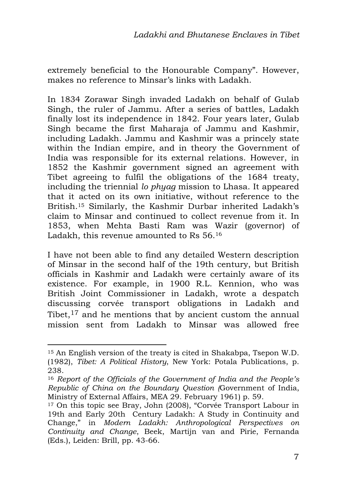extremely beneficial to the Honourable Company". However, makes no reference to Minsar's links with Ladakh.

In 1834 Zorawar Singh invaded Ladakh on behalf of Gulab Singh, the ruler of Jammu. After a series of battles, Ladakh finally lost its independence in 1842. Four years later, Gulab Singh became the first Maharaja of Jammu and Kashmir, including Ladakh. Jammu and Kashmir was a princely state within the Indian empire, and in theory the Government of India was responsible for its external relations. However, in 1852 the Kashmir government signed an agreement with Tibet agreeing to fulfil the obligations of the 1684 treaty, including the triennial *lo phyag* mission to Lhasa. It appeared that it acted on its own initiative, without reference to the British.15 Similarly, the Kashmir Durbar inherited Ladakh's claim to Minsar and continued to collect revenue from it. In 1853, when Mehta Basti Ram was Wazir (governor) of Ladakh, this revenue amounted to Rs 56.<sup>16</sup>

I have not been able to find any detailed Western description of Minsar in the second half of the 19th century, but British officials in Kashmir and Ladakh were certainly aware of its existence. For example, in 1900 R.L. Kennion, who was British Joint Commissioner in Ladakh, wrote a despatch discussing corvée transport obligations in Ladakh and Tibet, $17$  and he mentions that by ancient custom the annual mission sent from Ladakh to Minsar was allowed free

<sup>15</sup> An English version of the treaty is cited in Shakabpa, Tsepon W.D. (1982), *Tibet: A Political History*, New York: Potala Publications, p. 238.

<sup>16</sup> *Report of the Officials of the Government of India and the People's Republic of China on the Boundary Question (*Government of India, Ministry of External Affairs, MEA 29. February 1961) p. 59.

<sup>17</sup> On this topic see Bray, John (2008), "Corvée Transport Labour in 19th and Early 20th Century Ladakh: A Study in Continuity and Change," in *Modern Ladakh: Anthropological Perspectives on Continuity and Change*, Beek, Martijn van and Pirie, Fernanda (Eds.), Leiden: Brill, pp. 43-66.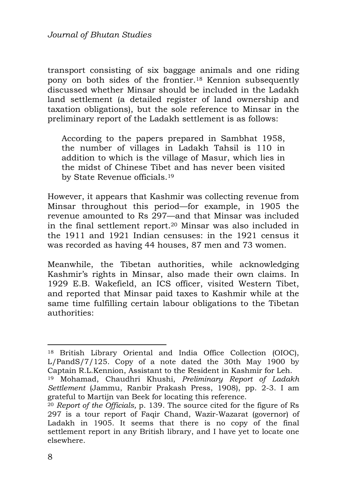transport consisting of six baggage animals and one riding pony on both sides of the frontier.18 Kennion subsequently discussed whether Minsar should be included in the Ladakh land settlement (a detailed register of land ownership and taxation obligations), but the sole reference to Minsar in the preliminary report of the Ladakh settlement is as follows:

According to the papers prepared in Sambhat 1958, the number of villages in Ladakh Tahsil is 110 in addition to which is the village of Masur, which lies in the midst of Chinese Tibet and has never been visited by State Revenue officials.<sup>19</sup>

However, it appears that Kashmir was collecting revenue from Minsar throughout this period—for example, in 1905 the revenue amounted to Rs 297—and that Minsar was included in the final settlement report.20 Minsar was also included in the 1911 and 1921 Indian censuses: in the 1921 census it was recorded as having 44 houses, 87 men and 73 women.

Meanwhile, the Tibetan authorities, while acknowledging Kashmir's rights in Minsar, also made their own claims. In 1929 E.B. Wakefield, an ICS officer, visited Western Tibet, and reported that Minsar paid taxes to Kashmir while at the same time fulfilling certain labour obligations to the Tibetan authorities:

<sup>18</sup> British Library Oriental and India Office Collection (OIOC), L/PandS/7/125. Copy of a note dated the 30th May 1900 by Captain R.L.Kennion, Assistant to the Resident in Kashmir for Leh.

<sup>19</sup> Mohamad, Chaudhri Khushi, *Preliminary Report of Ladakh Settlement* (Jammu, Ranbir Prakash Press, 1908), pp. 2-3. I am grateful to Martijn van Beek for locating this reference.

<sup>20</sup> *Report of the Officials,* p. 139. The source cited for the figure of Rs 297 is a tour report of Faqir Chand, Wazir-Wazarat (governor) of Ladakh in 1905. It seems that there is no copy of the final settlement report in any British library, and I have yet to locate one elsewhere.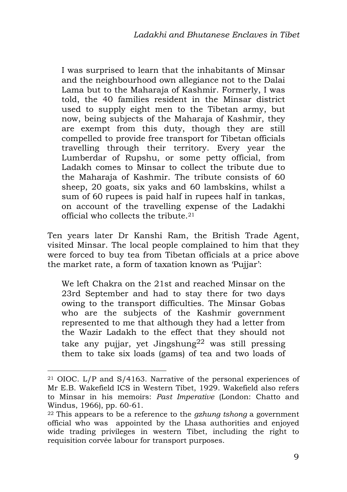I was surprised to learn that the inhabitants of Minsar and the neighbourhood own allegiance not to the Dalai Lama but to the Maharaja of Kashmir. Formerly, I was told, the 40 families resident in the Minsar district used to supply eight men to the Tibetan army, but now, being subjects of the Maharaja of Kashmir, they are exempt from this duty, though they are still compelled to provide free transport for Tibetan officials travelling through their territory. Every year the Lumberdar of Rupshu, or some petty official, from Ladakh comes to Minsar to collect the tribute due to the Maharaja of Kashmir. The tribute consists of 60 sheep, 20 goats, six yaks and 60 lambskins, whilst a sum of 60 rupees is paid half in rupees half in tankas, on account of the travelling expense of the Ladakhi official who collects the tribute.<sup>21</sup>

Ten years later Dr Kanshi Ram, the British Trade Agent, visited Minsar. The local people complained to him that they were forced to buy tea from Tibetan officials at a price above the market rate, a form of taxation known as 'Pujjar':

We left Chakra on the 21st and reached Minsar on the 23rd September and had to stay there for two days owing to the transport difficulties. The Minsar Gobas who are the subjects of the Kashmir government represented to me that although they had a letter from the Wazir Ladakh to the effect that they should not take any pujjar, yet Jingshung<sup>22</sup> was still pressing them to take six loads (gams) of tea and two loads of

<sup>21</sup> OIOC. L/P and S/4163. Narrative of the personal experiences of Mr E.B. Wakefield ICS in Western Tibet, 1929. Wakefield also refers to Minsar in his memoirs: *Past Imperative* (London: Chatto and Windus, 1966), pp. 60-61.

<sup>22</sup> This appears to be a reference to the *gzhung tshong* a government official who was appointed by the Lhasa authorities and enjoyed wide trading privileges in western Tibet, including the right to requisition corvée labour for transport purposes.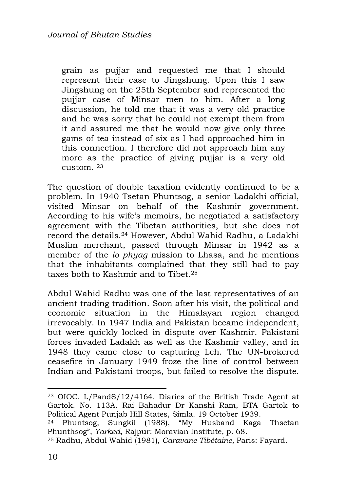grain as pujjar and requested me that I should represent their case to Jingshung. Upon this I saw Jingshung on the 25th September and represented the pujjar case of Minsar men to him. After a long discussion, he told me that it was a very old practice and he was sorry that he could not exempt them from it and assured me that he would now give only three gams of tea instead of six as I had approached him in this connection. I therefore did not approach him any more as the practice of giving pujiar is a very old custom. <sup>23</sup>

The question of double taxation evidently continued to be a problem. In 1940 Tsetan Phuntsog, a senior Ladakhi official, visited Minsar on behalf of the Kashmir government. According to his wife's memoirs, he negotiated a satisfactory agreement with the Tibetan authorities, but she does not record the details.24 However, Abdul Wahid Radhu, a Ladakhi Muslim merchant, passed through Minsar in 1942 as a member of the *lo phyag* mission to Lhasa, and he mentions that the inhabitants complained that they still had to pay taxes both to Kashmir and to Tibet 25

Abdul Wahid Radhu was one of the last representatives of an ancient trading tradition. Soon after his visit, the political and economic situation in the Himalayan region changed irrevocably. In 1947 India and Pakistan became independent, but were quickly locked in dispute over Kashmir. Pakistani forces invaded Ladakh as well as the Kashmir valley, and in 1948 they came close to capturing Leh. The UN-brokered ceasefire in January 1949 froze the line of control between Indian and Pakistani troops, but failed to resolve the dispute.

<sup>23</sup> OIOC. L/PandS/12/4164. Diaries of the British Trade Agent at Gartok. No. 113A. Rai Bahadur Dr Kanshi Ram, BTA Gartok to Political Agent Punjab Hill States, Simla. 19 October 1939.

<sup>24</sup> Phuntsog, Sungkil (1988), "My Husband Kaga Thsetan Phunthsog", *Yarked,* Rajpur: Moravian Institute, p. 68.

<sup>25</sup> Radhu, Abdul Wahid (1981), *Caravane Tibétaine,* Paris: Fayard.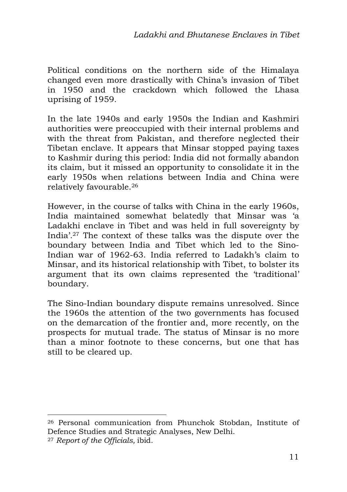Political conditions on the northern side of the Himalaya changed even more drastically with China's invasion of Tibet in 1950 and the crackdown which followed the Lhasa uprising of 1959.

In the late 1940s and early 1950s the Indian and Kashmiri authorities were preoccupied with their internal problems and with the threat from Pakistan, and therefore neglected their Tibetan enclave. It appears that Minsar stopped paying taxes to Kashmir during this period: India did not formally abandon its claim, but it missed an opportunity to consolidate it in the early 1950s when relations between India and China were relatively favourable.<sup>26</sup>

However, in the course of talks with China in the early 1960s, India maintained somewhat belatedly that Minsar was 'a Ladakhi enclave in Tibet and was held in full sovereignty by India'.27 The context of these talks was the dispute over the boundary between India and Tibet which led to the Sino-Indian war of 1962-63. India referred to Ladakh's claim to Minsar, and its historical relationship with Tibet, to bolster its argument that its own claims represented the 'traditional' boundary.

The Sino-Indian boundary dispute remains unresolved. Since the 1960s the attention of the two governments has focused on the demarcation of the frontier and, more recently, on the prospects for mutual trade. The status of Minsar is no more than a minor footnote to these concerns, but one that has still to be cleared up.

<sup>1</sup> <sup>26</sup> Personal communication from Phunchok Stobdan, Institute of Defence Studies and Strategic Analyses, New Delhi.

<sup>27</sup> *Report of the Officials,* ibid*.*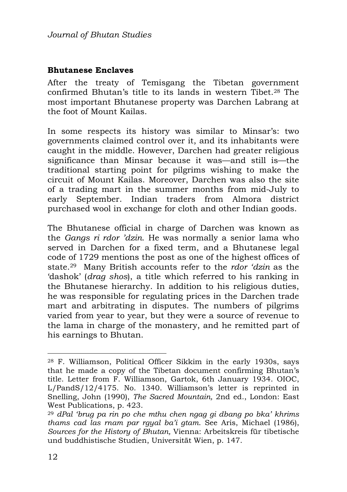#### **Bhutanese Enclaves**

After the treaty of Temisgang the Tibetan government confirmed Bhutan's title to its lands in western Tibet.28 The most important Bhutanese property was Darchen Labrang at the foot of Mount Kailas.

In some respects its history was similar to Minsar's: two governments claimed control over it, and its inhabitants were caught in the middle. However, Darchen had greater religious significance than Minsar because it was—and still is—the traditional starting point for pilgrims wishing to make the circuit of Mount Kailas. Moreover, Darchen was also the site of a trading mart in the summer months from mid-July to early September. Indian traders from Almora district purchased wool in exchange for cloth and other Indian goods.

The Bhutanese official in charge of Darchen was known as the *Gangs ri rdor 'dzin*. He was normally a senior lama who served in Darchen for a fixed term, and a Bhutanese legal code of 1729 mentions the post as one of the highest offices of state.29 Many British accounts refer to the *rdor 'dzin* as the 'dashok' (*drag shos*), a title which referred to his ranking in the Bhutanese hierarchy. In addition to his religious duties, he was responsible for regulating prices in the Darchen trade mart and arbitrating in disputes. The numbers of pilgrims varied from year to year, but they were a source of revenue to the lama in charge of the monastery, and he remitted part of his earnings to Bhutan.

<sup>28</sup> F. Williamson, Political Officer Sikkim in the early 1930s, says that he made a copy of the Tibetan document confirming Bhutan's title. Letter from F. Williamson, Gartok, 6th January 1934. OIOC, L/PandS/12/4175. No. 1340. Williamson's letter is reprinted in Snelling, John (1990), *The Sacred Mountain,* 2nd ed., London: East West Publications, p. 423.

<sup>29</sup> *dPal 'brug pa rin po che mthu chen ngag gi dbang po bka' khrims thams cad las rnam par rgyal ba'i gtam*. See Aris, Michael (1986), *Sources for the History of Bhutan,* Vienna: Arbeitskreis für tibetische und buddhistische Studien, Universität Wien, p. 147.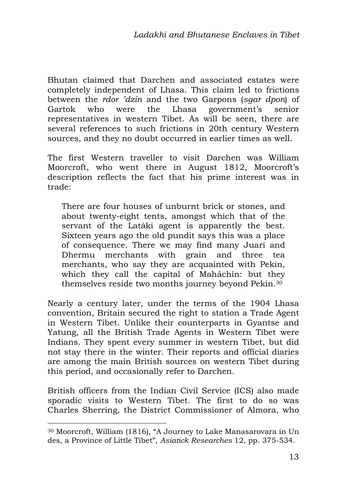Bhutan claimed that Darchen and associated estates were completely independent of Lhasa. This claim led to frictions between the *rdor 'dzin* and the two Garpons (*sgar dpon*) of Gartok who were the Lhasa government's senior representatives in western Tibet. As will be seen, there are several references to such frictions in 20th century Western sources, and they no doubt occurred in earlier times as well.

The first Western traveller to visit Darchen was William Moorcroft, who went there in August 1812, Moorcroft's description reflects the fact that his prime interest was in trade:

There are four houses of unburnt brick or stones, and about twenty-eight tents, amongst which that of the servant of the Latáki agent is apparently the best. Sixteen years ago the old pundit says this was a place of consequence. There we may find many Juarí and Dhermu merchants with grain and three tea merchants, who say they are acquainted with Pekin, which they call the capital of Maháchín: but they themselves reside two months journey beyond Pekin.<sup>30</sup>

Nearly a century later, under the terms of the 1904 Lhasa convention, Britain secured the right to station a Trade Agent in Western Tibet. Unlike their counterparts in Gyantse and Yatung, all the British Trade Agents in Western Tibet were Indians. They spent every summer in western Tibet, but did not stay there in the winter. Their reports and official diaries are among the main British sources on western Tibet during this period, and occasionally refer to Darchen.

British officers from the Indian Civil Service (ICS) also made sporadic visits to Western Tibet. The first to do so was Charles Sherring, the District Commissioner of Almora, who

<sup>30</sup> Moorcroft, William (1816), "A Journey to Lake Manasarovara in Un des, a Province of Little Tibet", *Asiatick Researches* 12, pp. 375-534.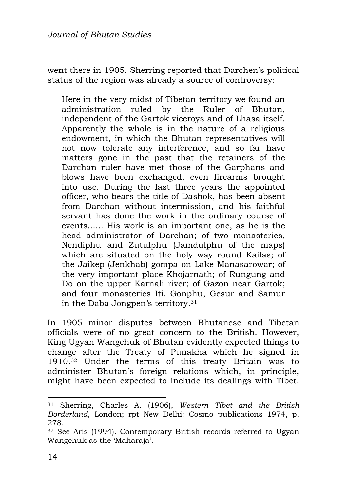went there in 1905. Sherring reported that Darchen's political status of the region was already a source of controversy:

Here in the very midst of Tibetan territory we found an administration ruled by the Ruler of Bhutan, independent of the Gartok viceroys and of Lhasa itself. Apparently the whole is in the nature of a religious endowment, in which the Bhutan representatives will not now tolerate any interference, and so far have matters gone in the past that the retainers of the Darchan ruler have met those of the Garphans and blows have been exchanged, even firearms brought into use. During the last three years the appointed officer, who bears the title of Dashok, has been absent from Darchan without intermission, and his faithful servant has done the work in the ordinary course of events...... His work is an important one, as he is the head administrator of Darchan; of two monasteries, Nendiphu and Zutulphu (Jamdulphu of the maps) which are situated on the holy way round Kailas; of the Jaikep (Jenkhab) gompa on Lake Manasarowar; of the very important place Khojarnath; of Rungung and Do on the upper Karnali river; of Gazon near Gartok; and four monasteries Iti, Gonphu, Gesur and Samur in the Daba Jongpen's territory.<sup>31</sup>

In 1905 minor disputes between Bhutanese and Tibetan officials were of no great concern to the British. However, King Ugyan Wangchuk of Bhutan evidently expected things to change after the Treaty of Punakha which he signed in 1910.32 Under the terms of this treaty Britain was to administer Bhutan's foreign relations which, in principle, might have been expected to include its dealings with Tibet.

<sup>31</sup> Sherring, Charles A. (1906), *Western Tibet and the British Borderland*, London; rpt New Delhi: Cosmo publications 1974, p. 278.

<sup>32</sup> See Aris (1994). Contemporary British records referred to Ugyan Wangchuk as the 'Maharaja'.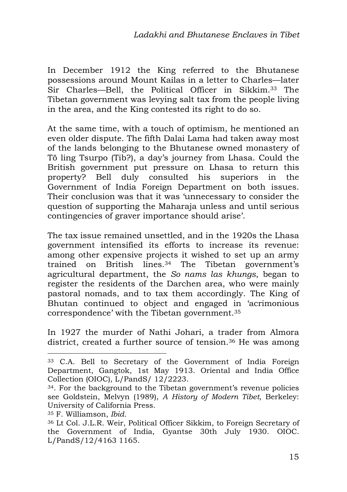In December 1912 the King referred to the Bhutanese possessions around Mount Kailas in a letter to Charles—later Sir Charles—Bell, the Political Officer in Sikkim.33 The Tibetan government was levying salt tax from the people living in the area, and the King contested its right to do so.

At the same time, with a touch of optimism, he mentioned an even older dispute. The fifth Dalai Lama had taken away most of the lands belonging to the Bhutanese owned monastery of Tö ling Tsurpo (Tib?), a day's journey from Lhasa. Could the British government put pressure on Lhasa to return this property? Bell duly consulted his superiors in the Government of India Foreign Department on both issues. Their conclusion was that it was 'unnecessary to consider the question of supporting the Maharaja unless and until serious contingencies of graver importance should arise'.

The tax issue remained unsettled, and in the 1920s the Lhasa government intensified its efforts to increase its revenue: among other expensive projects it wished to set up an army trained on British lines.34 The Tibetan government's agricultural department, the *So nams las khungs*, began to register the residents of the Darchen area, who were mainly pastoral nomads, and to tax them accordingly. The King of Bhutan continued to object and engaged in 'acrimonious correspondence' with the Tibetan government.<sup>35</sup>

In 1927 the murder of Nathi Johari, a trader from Almora district, created a further source of tension.<sup>36</sup> He was among

<sup>35</sup> F. Williamson, *Ibid.*

<sup>33</sup> C.A. Bell to Secretary of the Government of India Foreign Department, Gangtok, 1st May 1913. Oriental and India Office Collection (OIOC), L/PandS/ 12/2223.

<sup>34</sup>. For the background to the Tibetan government's revenue policies see Goldstein, Melvyn (1989), *A History of Modern Tibet*, Berkeley: University of California Press.

<sup>36</sup> Lt Col. J.L.R. Weir, Political Officer Sikkim, to Foreign Secretary of the Government of India, Gyantse 30th July 1930. OIOC. L/PandS/12/4163 1165.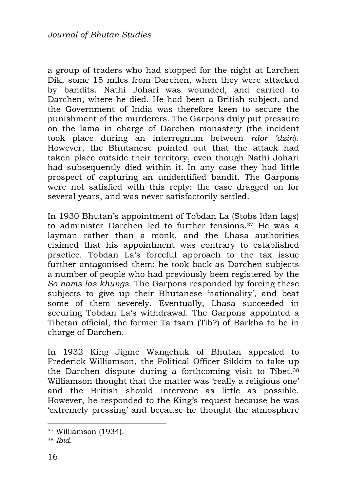a group of traders who had stopped for the night at Larchen Dik, some 15 miles from Darchen, when they were attacked by bandits. Nathi Johari was wounded, and carried to Darchen, where he died. He had been a British subject, and the Government of India was therefore keen to secure the punishment of the murderers. The Garpons duly put pressure on the lama in charge of Darchen monastery (the incident took place during an interregnum between *rdor 'dzin*). However, the Bhutanese pointed out that the attack had taken place outside their territory, even though Nathi Johari had subsequently died within it. In any case they had little prospect of capturing an unidentified bandit. The Garpons were not satisfied with this reply: the case dragged on for several years, and was never satisfactorily settled.

In 1930 Bhutan's appointment of Tobdan La (Stobs ldan lags) to administer Darchen led to further tensions.37 He was a layman rather than a monk, and the Lhasa authorities claimed that his appointment was contrary to established practice. Tobdan La's forceful approach to the tax issue further antagonised them: he took back as Darchen subjects a number of people who had previously been registered by the *So nams las khungs*. The Garpons responded by forcing these subjects to give up their Bhutanese 'nationality', and beat some of them severely. Eventually, Lhasa succeeded in securing Tobdan La's withdrawal. The Garpons appointed a Tibetan official, the former Ta tsam (Tib?) of Barkha to be in charge of Darchen.

In 1932 King Jigme Wangchuk of Bhutan appealed to Frederick Williamson, the Political Officer Sikkim to take up the Darchen dispute during a forthcoming visit to Tibet.<sup>38</sup> Williamson thought that the matter was 'really a religious one' and the British should intervene as little as possible. However, he responded to the King's request because he was 'extremely pressing' and because he thought the atmosphere

<sup>37</sup> Williamson (1934).

<sup>38</sup> *Ibid*.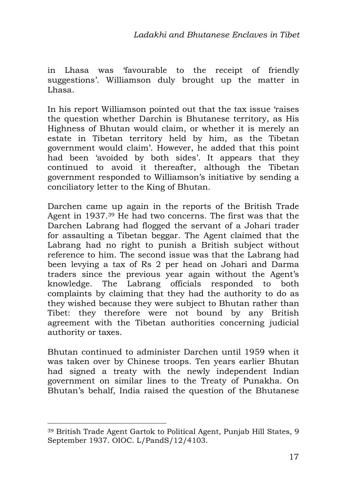in Lhasa was 'favourable to the receipt of friendly suggestions'. Williamson duly brought up the matter in Lhasa.

In his report Williamson pointed out that the tax issue 'raises the question whether Darchin is Bhutanese territory, as His Highness of Bhutan would claim, or whether it is merely an estate in Tibetan territory held by him, as the Tibetan government would claim'. However, he added that this point had been 'avoided by both sides'. It appears that they continued to avoid it thereafter, although the Tibetan government responded to Williamson's initiative by sending a conciliatory letter to the King of Bhutan.

Darchen came up again in the reports of the British Trade Agent in 1937.39 He had two concerns. The first was that the Darchen Labrang had flogged the servant of a Johari trader for assaulting a Tibetan beggar. The Agent claimed that the Labrang had no right to punish a British subject without reference to him. The second issue was that the Labrang had been levying a tax of Rs 2 per head on Johari and Darma traders since the previous year again without the Agent's knowledge. The Labrang officials responded to both complaints by claiming that they had the authority to do as they wished because they were subject to Bhutan rather than Tibet: they therefore were not bound by any British agreement with the Tibetan authorities concerning judicial authority or taxes.

Bhutan continued to administer Darchen until 1959 when it was taken over by Chinese troops. Ten years earlier Bhutan had signed a treaty with the newly independent Indian government on similar lines to the Treaty of Punakha. On Bhutan's behalf, India raised the question of the Bhutanese

<sup>39</sup> British Trade Agent Gartok to Political Agent, Punjab Hill States, 9 September 1937. OIOC. L/PandS/12/4103.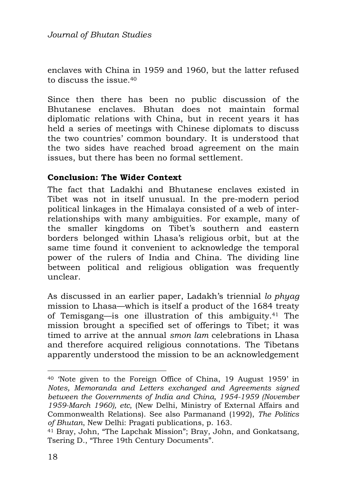enclaves with China in 1959 and 1960, but the latter refused to discuss the issue.<sup>40</sup>

Since then there has been no public discussion of the Bhutanese enclaves. Bhutan does not maintain formal diplomatic relations with China, but in recent years it has held a series of meetings with Chinese diplomats to discuss the two countries' common boundary. It is understood that the two sides have reached broad agreement on the main issues, but there has been no formal settlement.

#### **Conclusion: The Wider Context**

The fact that Ladakhi and Bhutanese enclaves existed in Tibet was not in itself unusual. In the pre-modern period political linkages in the Himalaya consisted of a web of interrelationships with many ambiguities. For example, many of the smaller kingdoms on Tibet's southern and eastern borders belonged within Lhasa's religious orbit, but at the same time found it convenient to acknowledge the temporal power of the rulers of India and China. The dividing line between political and religious obligation was frequently unclear.

As discussed in an earlier paper, Ladakh's triennial *lo phyag* mission to Lhasa—which is itself a product of the 1684 treaty of Temisgang—is one illustration of this ambiguity.41 The mission brought a specified set of offerings to Tibet; it was timed to arrive at the annual *smon lam* celebrations in Lhasa and therefore acquired religious connotations. The Tibetans apparently understood the mission to be an acknowledgement

<sup>40</sup> 'Note given to the Foreign Office of China, 19 August 1959' in *Notes, Memoranda and Letters exchanged and Agreements signed between the Governments of India and China, 1954-1959 (November 1959-March 1960), etc*, (New Delhi, Ministry of External Affairs and Commonwealth Relations). See also Parmanand (1992), *The Politics of Bhutan*, New Delhi: Pragati publications, p. 163.

<sup>&</sup>lt;sup>41</sup> Bray, John, "The Lapchak Mission"; Bray, John, and Gonkatsang, Tsering D., "Three 19th Century Documents".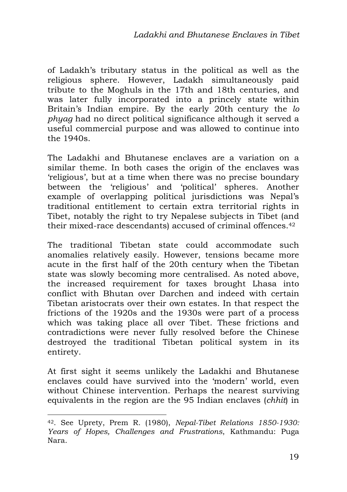of Ladakh's tributary status in the political as well as the religious sphere. However, Ladakh simultaneously paid tribute to the Moghuls in the 17th and 18th centuries, and was later fully incorporated into a princely state within Britain's Indian empire. By the early 20th century the *lo phyag* had no direct political significance although it served a useful commercial purpose and was allowed to continue into the 1940s.

The Ladakhi and Bhutanese enclaves are a variation on a similar theme. In both cases the origin of the enclaves was 'religious', but at a time when there was no precise boundary between the 'religious' and 'political' spheres. Another example of overlapping political jurisdictions was Nepal's traditional entitlement to certain extra territorial rights in Tibet, notably the right to try Nepalese subjects in Tibet (and their mixed-race descendants) accused of criminal offences.<sup>42</sup>

The traditional Tibetan state could accommodate such anomalies relatively easily. However, tensions became more acute in the first half of the 20th century when the Tibetan state was slowly becoming more centralised. As noted above, the increased requirement for taxes brought Lhasa into conflict with Bhutan over Darchen and indeed with certain Tibetan aristocrats over their own estates. In that respect the frictions of the 1920s and the 1930s were part of a process which was taking place all over Tibet. These frictions and contradictions were never fully resolved before the Chinese destroyed the traditional Tibetan political system in its entirety.

At first sight it seems unlikely the Ladakhi and Bhutanese enclaves could have survived into the 'modern' world, even without Chinese intervention. Perhaps the nearest surviving equivalents in the region are the 95 Indian enclaves (*chhit*) in

<sup>42</sup>. See Uprety, Prem R. (1980), *Nepal-Tibet Relations 1850-1930: Years of Hopes, Challenges and Frustrations*, Kathmandu: Puga Nara.